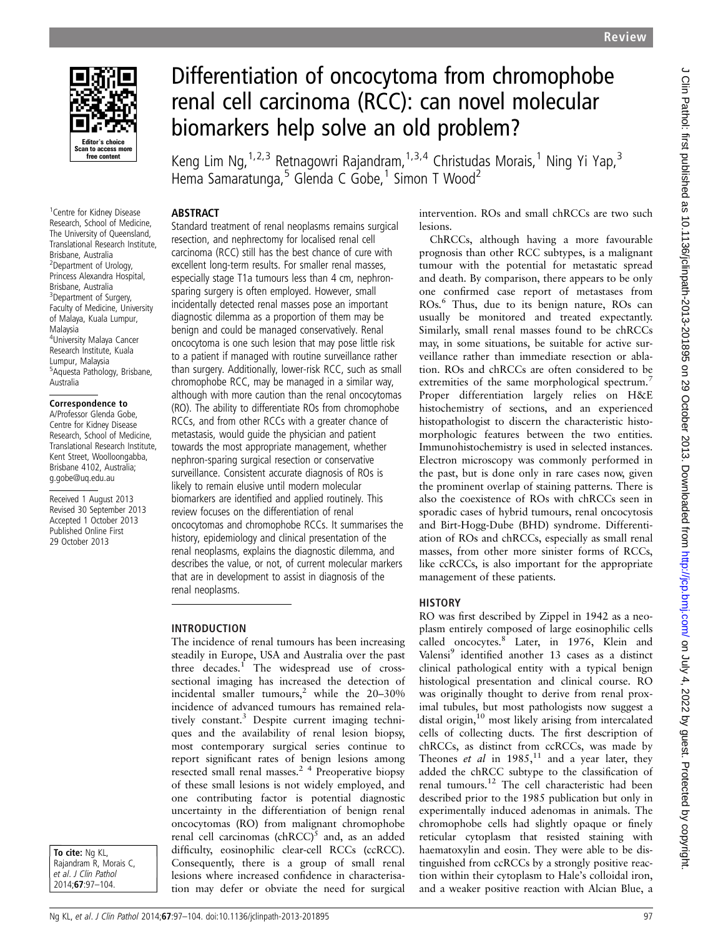

# Differentiation of oncocytoma from chromophobe renal cell carcinoma (RCC): can novel molecular biomarkers help solve an old problem?

Keng Lim Ng,  $^{1,2,3}$  Retnagowri Rajandram,  $^{1,3,4}$  Christudas Morais, <sup>1</sup> Ning Yi Yap, <sup>3</sup> Hema Samaratunga,<sup>5</sup> Glenda C Gobe,<sup>1</sup> Simon T Wood<sup>2</sup>

## **ABSTRACT**

<sup>1</sup> Centre for Kidney Disease Research, School of Medicine. The University of Queensland, Translational Research Institute, Brisbane, Australia 2 Department of Urology, Princess Alexandra Hospital, Brisbane, Australia <sup>3</sup>Department of Surgery, Faculty of Medicine, University of Malaya, Kuala Lumpur, Malaysia 4 University Malaya Cancer Research Institute, Kuala Lumpur, Malaysia 5 Aquesta Pathology, Brisbane, Australia

#### Correspondence to

A/Professor Glenda Gobe, Centre for Kidney Disease Research, School of Medicine, Translational Research Institute, Kent Street, Woolloongabba, Brisbane 4102, Australia; g.gobe@uq.edu.au

Received 1 August 2013 Revised 30 September 2013 Accepted 1 October 2013 Published Online First 29 October 2013

To cite: Na KL. Rajandram R, Morais C, et al. J Clin Pathol 2014;67:97–104.

Standard treatment of renal neoplasms remains surgical resection, and nephrectomy for localised renal cell carcinoma (RCC) still has the best chance of cure with excellent long-term results. For smaller renal masses, especially stage T1a tumours less than 4 cm, nephronsparing surgery is often employed. However, small incidentally detected renal masses pose an important diagnostic dilemma as a proportion of them may be benign and could be managed conservatively. Renal oncocytoma is one such lesion that may pose little risk to a patient if managed with routine surveillance rather than surgery. Additionally, lower-risk RCC, such as small chromophobe RCC, may be managed in a similar way, although with more caution than the renal oncocytomas (RO). The ability to differentiate ROs from chromophobe RCCs, and from other RCCs with a greater chance of metastasis, would guide the physician and patient towards the most appropriate management, whether nephron-sparing surgical resection or conservative surveillance. Consistent accurate diagnosis of ROs is likely to remain elusive until modern molecular biomarkers are identified and applied routinely. This review focuses on the differentiation of renal oncocytomas and chromophobe RCCs. It summarises the history, epidemiology and clinical presentation of the renal neoplasms, explains the diagnostic dilemma, and describes the value, or not, of current molecular markers that are in development to assist in diagnosis of the renal neoplasms.

# INTRODUCTION

The incidence of renal tumours has been increasing steadily in Europe, USA and Australia over the past three decades.<sup>1</sup> The widespread use of crosssectional imaging has increased the detection of incidental smaller tumours,<sup>2</sup> while the  $20-30%$ incidence of advanced tumours has remained relatively constant.<sup>3</sup> Despite current imaging techniques and the availability of renal lesion biopsy, most contemporary surgical series continue to report significant rates of benign lesions among resected small renal masses.<sup>2</sup><sup>4</sup> Preoperative biopsy of these small lesions is not widely employed, and one contributing factor is potential diagnostic uncertainty in the differentiation of benign renal oncocytomas (RO) from malignant chromophobe renal cell carcinomas (chRCC) $<sup>5</sup>$  and, as an added</sup> difficulty, eosinophilic clear-cell RCCs (ccRCC). Consequently, there is a group of small renal lesions where increased confidence in characterisation may defer or obviate the need for surgical

intervention. ROs and small chRCCs are two such lesions.

ChRCCs, although having a more favourable prognosis than other RCC subtypes, is a malignant tumour with the potential for metastatic spread and death. By comparison, there appears to be only one confirmed case report of metastases from ROs.<sup>6</sup> Thus, due to its benign nature, ROs can usually be monitored and treated expectantly. Similarly, small renal masses found to be chRCCs may, in some situations, be suitable for active surveillance rather than immediate resection or ablation. ROs and chRCCs are often considered to be extremities of the same morphological spectrum.<sup>7</sup> Proper differentiation largely relies on H&E histochemistry of sections, and an experienced histopathologist to discern the characteristic histomorphologic features between the two entities. Immunohistochemistry is used in selected instances. Electron microscopy was commonly performed in the past, but is done only in rare cases now, given the prominent overlap of staining patterns. There is also the coexistence of ROs with chRCCs seen in sporadic cases of hybrid tumours, renal oncocytosis and Birt-Hogg-Dube (BHD) syndrome. Differentiation of ROs and chRCCs, especially as small renal masses, from other more sinister forms of RCCs, like ccRCCs, is also important for the appropriate management of these patients.

## **HISTORY**

RO was first described by Zippel in 1942 as a neoplasm entirely composed of large eosinophilic cells called oncocytes.<sup>8</sup> Later, in 1976, Klein and Valensi<sup>9</sup> identified another 13 cases as a distinct clinical pathological entity with a typical benign histological presentation and clinical course. RO was originally thought to derive from renal proximal tubules, but most pathologists now suggest a distal origin,<sup>10</sup> most likely arising from intercalated cells of collecting ducts. The first description of chRCCs, as distinct from ccRCCs, was made by Theones *et al* in  $1985$ ,<sup>11</sup> and a year later, they added the chRCC subtype to the classification of renal tumours.<sup>12</sup> The cell characteristic had been described prior to the 1985 publication but only in experimentally induced adenomas in animals. The chromophobe cells had slightly opaque or finely reticular cytoplasm that resisted staining with haematoxylin and eosin. They were able to be distinguished from ccRCCs by a strongly positive reaction within their cytoplasm to Hale's colloidal iron, and a weaker positive reaction with Alcian Blue, a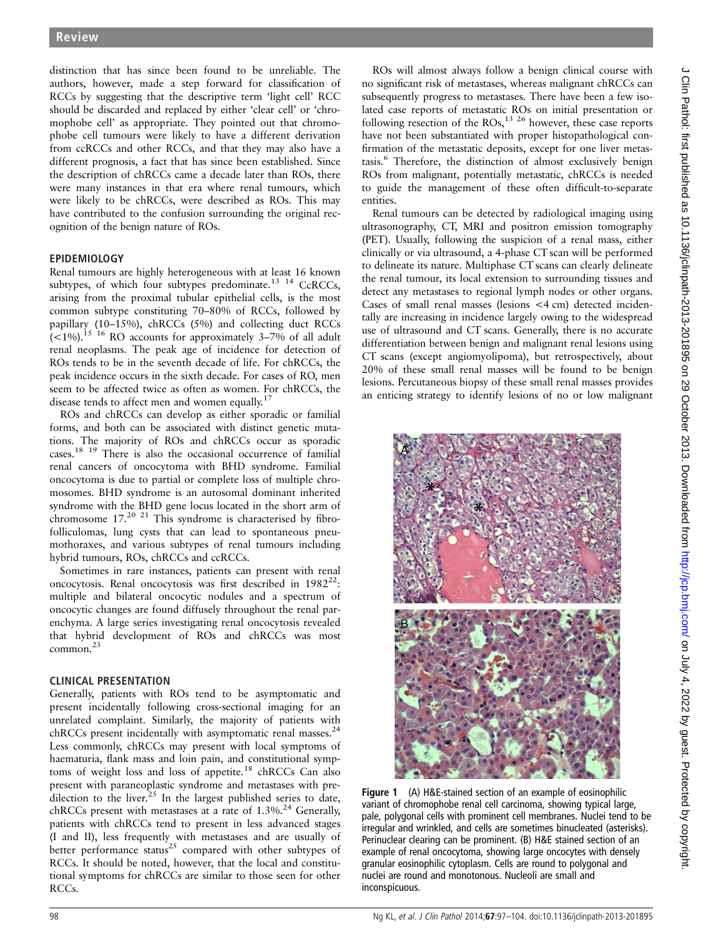distinction that has since been found to be unreliable. The authors, however, made a step forward for classification of RCCs by suggesting that the descriptive term 'light cell' RCC should be discarded and replaced by either 'clear cell' or 'chromophobe cell' as appropriate. They pointed out that chromophobe cell tumours were likely to have a different derivation from ccRCCs and other RCCs, and that they may also have a different prognosis, a fact that has since been established. Since the description of chRCCs came a decade later than ROs, there were many instances in that era where renal tumours, which were likely to be chRCCs, were described as ROs. This may have contributed to the confusion surrounding the original recognition of the benign nature of ROs.

## EPIDEMIOLOGY

Renal tumours are highly heterogeneous with at least 16 known subtypes, of which four subtypes predominate.<sup>13</sup> <sup>14</sup> CcRCCs, arising from the proximal tubular epithelial cells, is the most common subtype constituting 70–80% of RCCs, followed by papillary (10–15%), chRCCs (5%) and collecting duct RCCs  $($  <1%).<sup>15</sup> <sup>16</sup> RO accounts for approximately 3-7% of all adult renal neoplasms. The peak age of incidence for detection of ROs tends to be in the seventh decade of life. For chRCCs, the peak incidence occurs in the sixth decade. For cases of RO, men seem to be affected twice as often as women. For chRCCs, the disease tends to affect men and women equally.<sup>17</sup>

ROs and chRCCs can develop as either sporadic or familial forms, and both can be associated with distinct genetic mutations. The majority of ROs and chRCCs occur as sporadic cases.18 19 There is also the occasional occurrence of familial renal cancers of oncocytoma with BHD syndrome. Familial oncocytoma is due to partial or complete loss of multiple chromosomes. BHD syndrome is an autosomal dominant inherited syndrome with the BHD gene locus located in the short arm of chromosome  $17<sup>20</sup>$   $^{21}$  This syndrome is characterised by fibrofolliculomas, lung cysts that can lead to spontaneous pneumothoraxes, and various subtypes of renal tumours including hybrid tumours, ROs, chRCCs and ccRCCs.

Sometimes in rare instances, patients can present with renal oncocytosis. Renal oncocytosis was first described in  $1982^{22}$ : multiple and bilateral oncocytic nodules and a spectrum of oncocytic changes are found diffusely throughout the renal parenchyma. A large series investigating renal oncocytosis revealed that hybrid development of ROs and chRCCs was most common.<sup>23</sup>

# CLINICAL PRESENTATION

Generally, patients with ROs tend to be asymptomatic and present incidentally following cross-sectional imaging for an unrelated complaint. Similarly, the majority of patients with chRCCs present incidentally with asymptomatic renal masses.<sup>24</sup> Less commonly, chRCCs may present with local symptoms of haematuria, flank mass and loin pain, and constitutional symptoms of weight loss and loss of appetite.<sup>18</sup> chRCCs Can also present with paraneoplastic syndrome and metastases with predilection to the liver.<sup>25</sup> In the largest published series to date, chRCCs present with metastases at a rate of 1.3%.<sup>24</sup> Generally, patients with chRCCs tend to present in less advanced stages (I and II), less frequently with metastases and are usually of better performance status<sup>25</sup> compared with other subtypes of RCCs. It should be noted, however, that the local and constitutional symptoms for chRCCs are similar to those seen for other RCCs.

ROs will almost always follow a benign clinical course with no significant risk of metastases, whereas malignant chRCCs can subsequently progress to metastases. There have been a few isolated case reports of metastatic ROs on initial presentation or following resection of the ROs,<sup>13 26</sup> however, these case reports have not been substantiated with proper histopathological confirmation of the metastatic deposits, except for one liver metastasis.6 Therefore, the distinction of almost exclusively benign ROs from malignant, potentially metastatic, chRCCs is needed to guide the management of these often difficult-to-separate entities.

Renal tumours can be detected by radiological imaging using ultrasonography, CT, MRI and positron emission tomography (PET). Usually, following the suspicion of a renal mass, either clinically or via ultrasound, a 4-phase CT scan will be performed to delineate its nature. Multiphase CT scans can clearly delineate the renal tumour, its local extension to surrounding tissues and detect any metastases to regional lymph nodes or other organs. Cases of small renal masses (lesions <4 cm) detected incidentally are increasing in incidence largely owing to the widespread use of ultrasound and CT scans. Generally, there is no accurate differentiation between benign and malignant renal lesions using CT scans (except angiomyolipoma), but retrospectively, about 20% of these small renal masses will be found to be benign lesions. Percutaneous biopsy of these small renal masses provides an enticing strategy to identify lesions of no or low malignant



Figure 1 (A) H&E-stained section of an example of eosinophilic variant of chromophobe renal cell carcinoma, showing typical large, pale, polygonal cells with prominent cell membranes. Nuclei tend to be irregular and wrinkled, and cells are sometimes binucleated (asterisks). Perinuclear clearing can be prominent. (B) H&E stained section of an example of renal oncocytoma, showing large oncocytes with densely granular eosinophilic cytoplasm. Cells are round to polygonal and nuclei are round and monotonous. Nucleoli are small and inconspicuous.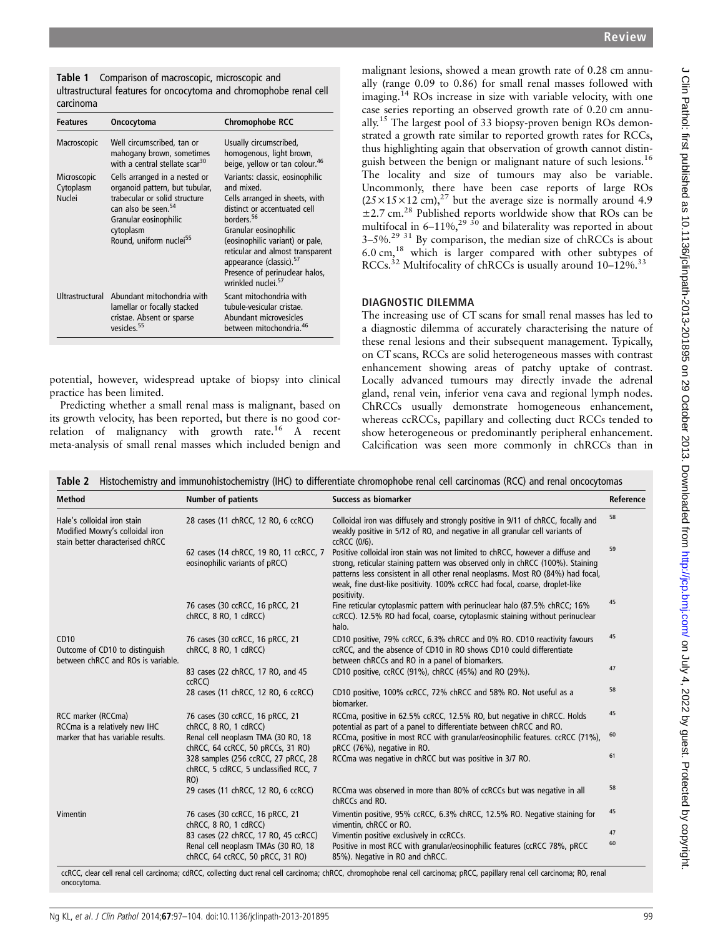|  | <b>Table 1</b> Comparison of macroscopic, microscopic and |                                                                    |
|--|-----------------------------------------------------------|--------------------------------------------------------------------|
|  |                                                           | ultrastructural features for oncocytoma and chromophobe renal cell |

carcinoma

| <b>Features</b>                                  | Oncocytoma                                                                                                                                                                                                       | <b>Chromophobe RCC</b>                                                                                                                                                                                                                                                                                                                               |
|--------------------------------------------------|------------------------------------------------------------------------------------------------------------------------------------------------------------------------------------------------------------------|------------------------------------------------------------------------------------------------------------------------------------------------------------------------------------------------------------------------------------------------------------------------------------------------------------------------------------------------------|
| Macroscopic                                      | Well circumscribed, tan or<br>mahogany brown, sometimes<br>with a central stellate scar <sup>30</sup>                                                                                                            | Usually circumscribed,<br>homogenous, light brown,<br>beige, yellow or tan colour. <sup>46</sup>                                                                                                                                                                                                                                                     |
| <b>Microscopic</b><br>Cytoplasm<br><b>Nuclei</b> | Cells arranged in a nested or<br>organoid pattern, but tubular,<br>trabecular or solid structure<br>can also be seen. <sup>54</sup><br>Granular eosinophilic<br>cytoplasm<br>Round, uniform nuclei <sup>55</sup> | Variants: classic, eosinophilic<br>and mixed.<br>Cells arranged in sheets, with<br>distinct or accentuated cell<br>borders. <sup>56</sup><br>Granular eosinophilic<br>(eosinophilic variant) or pale,<br>reticular and almost transparent<br>appearance (classic). <sup>57</sup><br>Presence of perinuclear halos,<br>wrinkled nuclei. <sup>57</sup> |
|                                                  | Ultrastructural Abundant mitochondria with<br>lamellar or focally stacked<br>cristae. Absent or sparse<br>vesicles. <sup>55</sup>                                                                                | Scant mitochondria with<br>tubule-vesicular cristae.<br>Abundant microvesicles<br>between mitochondria. <sup>46</sup>                                                                                                                                                                                                                                |

potential, however, widespread uptake of biopsy into clinical practice has been limited.

Predicting whether a small renal mass is malignant, based on its growth velocity, has been reported, but there is no good correlation of malignancy with growth rate.<sup>16</sup>  $\overrightarrow{A}$  recent meta-analysis of small renal masses which included benign and

malignant lesions, showed a mean growth rate of 0.28 cm annually (range 0.09 to 0.86) for small renal masses followed with imaging.<sup>14</sup> ROs increase in size with variable velocity, with one case series reporting an observed growth rate of 0.20 cm annually.15 The largest pool of 33 biopsy-proven benign ROs demonstrated a growth rate similar to reported growth rates for RCCs, thus highlighting again that observation of growth cannot distinguish between the benign or malignant nature of such lesions.<sup>16</sup> The locality and size of tumours may also be variable. Uncommonly, there have been case reports of large ROs  $(25 \times 15 \times 12 \text{ cm})$ ,<sup>27</sup> but the average size is normally around 4.9  $\pm$ 2.7 cm.<sup>28</sup> Published reports worldwide show that ROs can be multifocal in 6–11%, $29^{30}$  and bilaterality was reported in about  $3-5\%$ <sup>29 31</sup> By comparison, the median size of chRCCs is about 6.0 cm,<sup>18</sup> which is larger compared with other subtypes of RCCs.<sup>32</sup> Multifocality of chRCCs is usually around  $10-12\%$ .<sup>33</sup>

## DIAGNOSTIC DILEMMA

The increasing use of CT scans for small renal masses has led to a diagnostic dilemma of accurately characterising the nature of these renal lesions and their subsequent management. Typically, on CT scans, RCCs are solid heterogeneous masses with contrast enhancement showing areas of patchy uptake of contrast. Locally advanced tumours may directly invade the adrenal gland, renal vein, inferior vena cava and regional lymph nodes. ChRCCs usually demonstrate homogeneous enhancement, whereas ccRCCs, papillary and collecting duct RCCs tended to show heterogeneous or predominantly peripheral enhancement. Calcification was seen more commonly in chRCCs than in

| <b>Method</b>                                                                                      | <b>Number of patients</b>                                                           | Success as biomarker                                                                                                                                                                                                                                                                                                                             | Reference |
|----------------------------------------------------------------------------------------------------|-------------------------------------------------------------------------------------|--------------------------------------------------------------------------------------------------------------------------------------------------------------------------------------------------------------------------------------------------------------------------------------------------------------------------------------------------|-----------|
| Hale's colloidal iron stain<br>Modified Mowry's colloidal iron<br>stain better characterised chRCC | 28 cases (11 chRCC, 12 RO, 6 ccRCC)                                                 | Colloidal iron was diffusely and strongly positive in 9/11 of chRCC, focally and<br>weakly positive in 5/12 of RO, and negative in all granular cell variants of<br>ccRCC (0/6).                                                                                                                                                                 | 58        |
|                                                                                                    | 62 cases (14 chRCC, 19 RO, 11 ccRCC, 7<br>eosinophilic variants of pRCC)            | Positive colloidal iron stain was not limited to chRCC, however a diffuse and<br>strong, reticular staining pattern was observed only in chRCC (100%). Staining<br>patterns less consistent in all other renal neoplasms. Most RO (84%) had focal,<br>weak, fine dust-like positivity. 100% ccRCC had focal, coarse, droplet-like<br>positivity. | 59        |
|                                                                                                    | 76 cases (30 ccRCC, 16 pRCC, 21<br>chRCC, 8 RO, 1 cdRCC)                            | Fine reticular cytoplasmic pattern with perinuclear halo (87.5% chRCC; 16%<br>ccRCC). 12.5% RO had focal, coarse, cytoplasmic staining without perinuclear<br>halo.                                                                                                                                                                              | 45        |
| CD10<br>Outcome of CD10 to distinguish<br>between chRCC and ROs is variable.                       | 76 cases (30 ccRCC, 16 pRCC, 21<br>chRCC, 8 RO, 1 cdRCC)                            | CD10 positive, 79% ccRCC, 6.3% chRCC and 0% RO. CD10 reactivity favours<br>ccRCC, and the absence of CD10 in RO shows CD10 could differentiate<br>between chRCCs and RO in a panel of biomarkers.                                                                                                                                                | 45        |
|                                                                                                    | 83 cases (22 chRCC, 17 RO, and 45<br>ccRCC)                                         | CD10 positive, ccRCC (91%), chRCC (45%) and RO (29%).                                                                                                                                                                                                                                                                                            | 47        |
|                                                                                                    | 28 cases (11 chRCC, 12 RO, 6 ccRCC)                                                 | CD10 positive, 100% ccRCC, 72% chRCC and 58% RO. Not useful as a<br>biomarker.                                                                                                                                                                                                                                                                   | 58        |
| RCC marker (RCCma)<br>RCCma is a relatively new IHC                                                | 76 cases (30 ccRCC, 16 pRCC, 21<br>chRCC, 8 RO, 1 cdRCC)                            | RCCma, positive in 62.5% ccRCC, 12.5% RO, but negative in chRCC. Holds<br>potential as part of a panel to differentiate between chRCC and RO.                                                                                                                                                                                                    | 45        |
| marker that has variable results.                                                                  | Renal cell neoplasm TMA (30 RO, 18<br>chRCC, 64 ccRCC, 50 pRCCs, 31 RO)             | RCCma, positive in most RCC with granular/eosinophilic features. ccRCC (71%),<br>pRCC (76%), negative in RO.                                                                                                                                                                                                                                     | 60        |
|                                                                                                    | 328 samples (256 ccRCC, 27 pRCC, 28<br>chRCC, 5 cdRCC, 5 unclassified RCC, 7<br>RO) | RCCma was negative in chRCC but was positive in 3/7 RO.                                                                                                                                                                                                                                                                                          | 61        |
|                                                                                                    | 29 cases (11 chRCC, 12 RO, 6 ccRCC)                                                 | RCCma was observed in more than 80% of ccRCCs but was negative in all<br>chRCCs and RO.                                                                                                                                                                                                                                                          | 58        |
| Vimentin                                                                                           | 76 cases (30 ccRCC, 16 pRCC, 21<br>chRCC, 8 RO, 1 cdRCC)                            | Vimentin positive, 95% ccRCC, 6.3% chRCC, 12.5% RO. Negative staining for<br>vimentin, chRCC or RO.                                                                                                                                                                                                                                              | 45        |
|                                                                                                    | 83 cases (22 chRCC, 17 RO, 45 ccRCC)                                                | Vimentin positive exclusively in ccRCCs.                                                                                                                                                                                                                                                                                                         | 47        |
|                                                                                                    | Renal cell neoplasm TMAs (30 RO, 18<br>chRCC, 64 ccRCC, 50 pRCC, 31 RO)             | Positive in most RCC with granular/eosinophilic features (ccRCC 78%, pRCC<br>85%). Negative in RO and chRCC.                                                                                                                                                                                                                                     | 60        |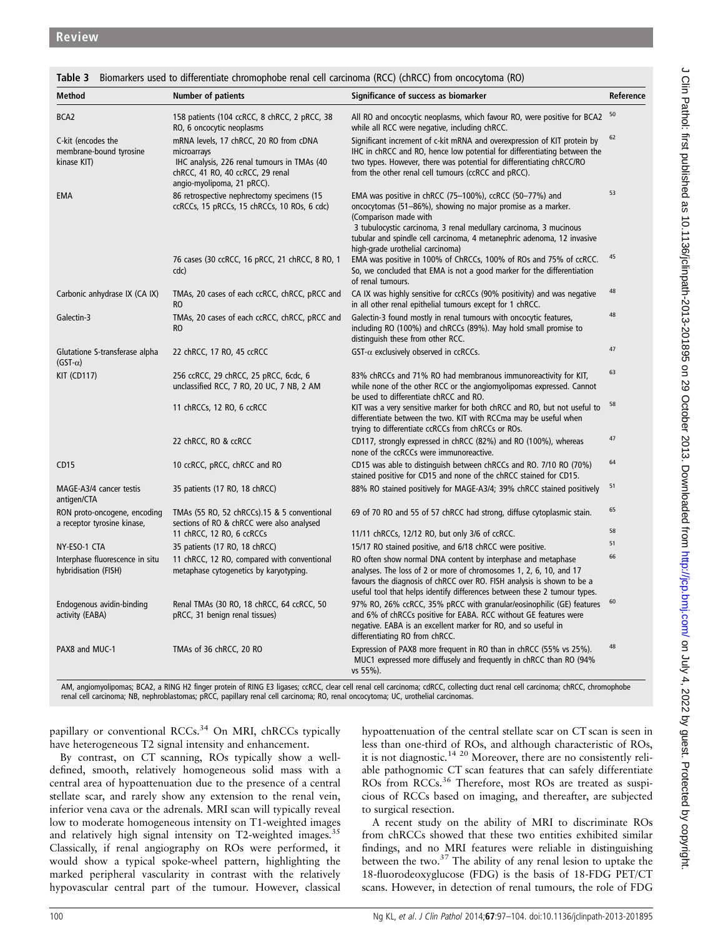| Method                                                       | <b>Number of patients</b>                                                                                                                                              | Significance of success as biomarker                                                                                                                                                                                                                                                                                               | Reference |
|--------------------------------------------------------------|------------------------------------------------------------------------------------------------------------------------------------------------------------------------|------------------------------------------------------------------------------------------------------------------------------------------------------------------------------------------------------------------------------------------------------------------------------------------------------------------------------------|-----------|
| BCA <sub>2</sub>                                             | 158 patients (104 ccRCC, 8 chRCC, 2 pRCC, 38<br>RO, 6 oncocytic neoplasms                                                                                              | All RO and oncocytic neoplasms, which favour RO, were positive for BCA2<br>while all RCC were negative, including chRCC.                                                                                                                                                                                                           | 50        |
| C-kit (encodes the<br>membrane-bound tyrosine<br>kinase KIT) | mRNA levels, 17 chRCC, 20 RO from cDNA<br>microarrays<br>IHC analysis, 226 renal tumours in TMAs (40<br>chRCC, 41 RO, 40 ccRCC, 29 renal<br>angio-myolipoma, 21 pRCC). | Significant increment of c-kit mRNA and overexpression of KIT protein by<br>IHC in chRCC and RO, hence low potential for differentiating between the<br>two types. However, there was potential for differentiating chRCC/RO<br>from the other renal cell tumours (ccRCC and pRCC).                                                | 62        |
| <b>EMA</b>                                                   | 86 retrospective nephrectomy specimens (15<br>ccRCCs, 15 pRCCs, 15 chRCCs, 10 ROs, 6 cdc)                                                                              | EMA was positive in chRCC (75-100%), ccRCC (50-77%) and<br>oncocytomas (51–86%), showing no major promise as a marker.<br>(Comparison made with<br>3 tubulocystic carcinoma, 3 renal medullary carcinoma, 3 mucinous<br>tubular and spindle cell carcinoma, 4 metanephric adenoma, 12 invasive<br>high-grade urothelial carcinoma) | 53        |
|                                                              | 76 cases (30 ccRCC, 16 pRCC, 21 chRCC, 8 RO, 1<br>cdc)                                                                                                                 | EMA was positive in 100% of ChRCCs, 100% of ROs and 75% of ccRCC.<br>So, we concluded that EMA is not a good marker for the differentiation<br>of renal tumours.                                                                                                                                                                   | 45        |
| Carbonic anhydrase IX (CA IX)                                | TMAs, 20 cases of each ccRCC, chRCC, pRCC and<br>RО                                                                                                                    | CA IX was highly sensitive for ccRCCs (90% positivity) and was negative<br>in all other renal epithelial tumours except for 1 chRCC.                                                                                                                                                                                               | 48        |
| Galectin-3                                                   | TMAs, 20 cases of each ccRCC, chRCC, pRCC and<br>RО                                                                                                                    | Galectin-3 found mostly in renal tumours with oncocytic features,<br>including RO (100%) and chRCCs (89%). May hold small promise to<br>distinguish these from other RCC.                                                                                                                                                          | 48        |
| Glutatione S-transferase alpha<br>$(GST-\alpha)$             | 22 chRCC, 17 RO, 45 ccRCC                                                                                                                                              | $GST-\alpha$ exclusively observed in ccRCCs.                                                                                                                                                                                                                                                                                       | 47        |
| <b>KIT (CD117)</b>                                           | 256 ccRCC, 29 chRCC, 25 pRCC, 6cdc, 6<br>unclassified RCC, 7 RO, 20 UC, 7 NB, 2 AM                                                                                     | 83% chRCCs and 71% RO had membranous immunoreactivity for KIT,<br>while none of the other RCC or the angiomyolipomas expressed. Cannot<br>be used to differentiate chRCC and RO.                                                                                                                                                   | 63        |
|                                                              | 11 chRCCs, 12 RO, 6 ccRCC                                                                                                                                              | KIT was a very sensitive marker for both chRCC and RO, but not useful to<br>differentiate between the two. KIT with RCCma may be useful when<br>trying to differentiate ccRCCs from chRCCs or ROs.                                                                                                                                 | 58        |
|                                                              | 22 chRCC, RO & ccRCC                                                                                                                                                   | CD117, strongly expressed in chRCC (82%) and RO (100%), whereas<br>none of the ccRCCs were immunoreactive.                                                                                                                                                                                                                         | 47        |
| <b>CD15</b>                                                  | 10 ccRCC, pRCC, chRCC and RO                                                                                                                                           | CD15 was able to distinguish between chRCCs and RO. 7/10 RO (70%)<br>stained positive for CD15 and none of the chRCC stained for CD15.                                                                                                                                                                                             | 64        |
| MAGE-A3/4 cancer testis<br>antigen/CTA                       | 35 patients (17 RO, 18 chRCC)                                                                                                                                          | 88% RO stained positively for MAGE-A3/4; 39% chRCC stained positively                                                                                                                                                                                                                                                              | 51        |
| RON proto-oncogene, encoding<br>a receptor tyrosine kinase,  | TMAs (55 RO, 52 chRCCs).15 & 5 conventional<br>sections of RO & chRCC were also analysed                                                                               | 69 of 70 RO and 55 of 57 chRCC had strong, diffuse cytoplasmic stain.                                                                                                                                                                                                                                                              | 65        |
|                                                              | 11 chRCC, 12 RO, 6 ccRCCs                                                                                                                                              | 11/11 chRCCs, 12/12 RO, but only 3/6 of ccRCC.                                                                                                                                                                                                                                                                                     | 58        |
| NY-ESO-1 CTA                                                 | 35 patients (17 RO, 18 chRCC)                                                                                                                                          | 15/17 RO stained positive, and 6/18 chRCC were positive.                                                                                                                                                                                                                                                                           | 51        |
| Interphase fluorescence in situ<br>hybridisation (FISH)      | 11 chRCC, 12 RO, compared with conventional<br>metaphase cytogenetics by karyotyping.                                                                                  | RO often show normal DNA content by interphase and metaphase<br>analyses. The loss of 2 or more of chromosomes 1, 2, 6, 10, and 17<br>favours the diagnosis of chRCC over RO. FISH analysis is shown to be a<br>useful tool that helps identify differences between these 2 tumour types.                                          | 66        |
| Endogenous avidin-binding<br>activity (EABA)                 | Renal TMAs (30 RO, 18 chRCC, 64 ccRCC, 50<br>pRCC, 31 benign renal tissues)                                                                                            | 97% RO, 26% ccRCC, 35% pRCC with granular/eosinophilic (GE) features<br>and 6% of chRCCs positive for EABA. RCC without GE features were<br>negative. EABA is an excellent marker for RO, and so useful in<br>differentiating RO from chRCC.                                                                                       | 60        |
| PAX8 and MUC-1                                               | TMAs of 36 chRCC, 20 RO                                                                                                                                                | Expression of PAX8 more frequent in RO than in chRCC (55% vs 25%).<br>MUC1 expressed more diffusely and frequently in chRCC than RO (94%<br>vs 55%).                                                                                                                                                                               | 48        |

Table 3 Biomarkers used to differentiate chromophobe renal cell carcinoma (RCC) (chRCC) from oncocytoma (RO)

AM, angiomyolipomas; BCA2, a RING H2 finger protein of RING E3 ligases; ccRCC, clear cell renal cell carcinoma; cdRCC, collecting duct renal cell carcinoma; chRCC, chromophobe renal cell carcinoma; NB, nephroblastomas; pRCC, papillary renal cell carcinoma; RO, renal oncocytoma; UC, urothelial carcinomas.

papillary or conventional RCCs.<sup>34</sup> On MRI, chRCCs typically have heterogeneous T2 signal intensity and enhancement.

By contrast, on CT scanning, ROs typically show a welldefined, smooth, relatively homogeneous solid mass with a central area of hypoattenuation due to the presence of a central stellate scar, and rarely show any extension to the renal vein, inferior vena cava or the adrenals. MRI scan will typically reveal low to moderate homogeneous intensity on T1-weighted images and relatively high signal intensity on T2-weighted images.<sup>35</sup> Classically, if renal angiography on ROs were performed, it would show a typical spoke-wheel pattern, highlighting the marked peripheral vascularity in contrast with the relatively hypovascular central part of the tumour. However, classical

hypoattenuation of the central stellate scar on CT scan is seen in less than one-third of ROs, and although characteristic of ROs, it is not diagnostic.<sup>14 20</sup> Moreover, there are no consistently reliable pathognomic CT scan features that can safely differentiate ROs from RCCs.<sup>36</sup> Therefore, most ROs are treated as suspicious of RCCs based on imaging, and thereafter, are subjected to surgical resection.

A recent study on the ability of MRI to discriminate ROs from chRCCs showed that these two entities exhibited similar findings, and no MRI features were reliable in distinguishing between the two.<sup>37</sup> The ability of any renal lesion to uptake the 18-fluorodeoxyglucose (FDG) is the basis of 18-FDG PET/CT scans. However, in detection of renal tumours, the role of FDG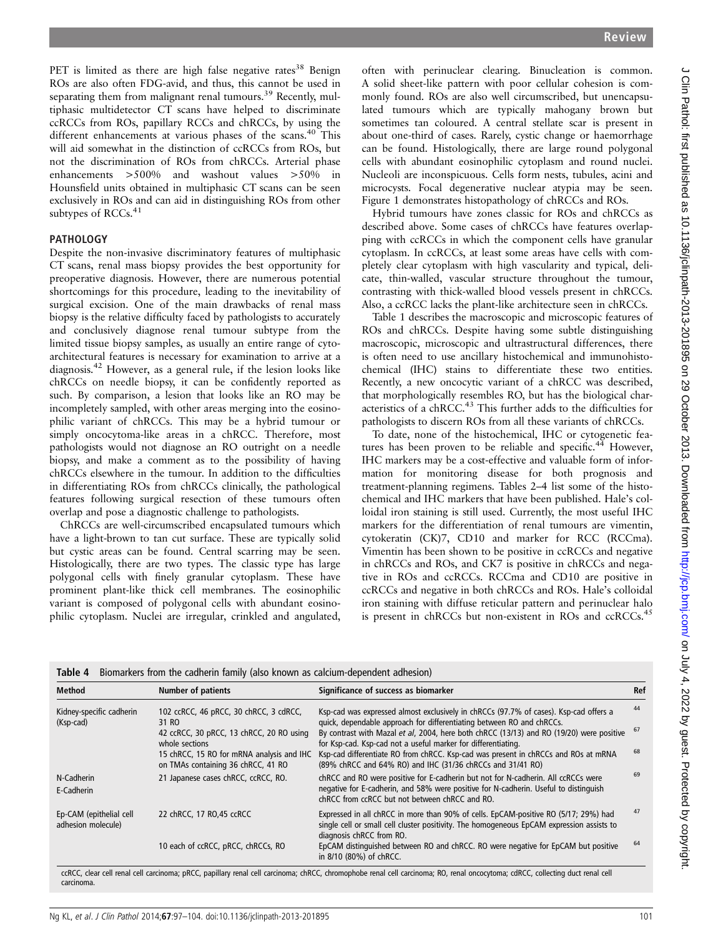PET is limited as there are high false negative rates<sup>38</sup> Benign ROs are also often FDG-avid, and thus, this cannot be used in separating them from malignant renal tumours.<sup>39</sup> Recently, multiphasic multidetector CT scans have helped to discriminate ccRCCs from ROs, papillary RCCs and chRCCs, by using the different enhancements at various phases of the scans.<sup>40</sup> This will aid somewhat in the distinction of ccRCCs from ROs, but not the discrimination of ROs from chRCCs. Arterial phase enhancements >500% and washout values >50% in Hounsfield units obtained in multiphasic CT scans can be seen exclusively in ROs and can aid in distinguishing ROs from other subtypes of RCCs.<sup>41</sup>

## PATHOLOGY

Despite the non-invasive discriminatory features of multiphasic CT scans, renal mass biopsy provides the best opportunity for preoperative diagnosis. However, there are numerous potential shortcomings for this procedure, leading to the inevitability of surgical excision. One of the main drawbacks of renal mass biopsy is the relative difficulty faced by pathologists to accurately and conclusively diagnose renal tumour subtype from the limited tissue biopsy samples, as usually an entire range of cytoarchitectural features is necessary for examination to arrive at a diagnosis.42 However, as a general rule, if the lesion looks like chRCCs on needle biopsy, it can be confidently reported as such. By comparison, a lesion that looks like an RO may be incompletely sampled, with other areas merging into the eosinophilic variant of chRCCs. This may be a hybrid tumour or simply oncocytoma-like areas in a chRCC. Therefore, most pathologists would not diagnose an RO outright on a needle biopsy, and make a comment as to the possibility of having chRCCs elsewhere in the tumour. In addition to the difficulties in differentiating ROs from chRCCs clinically, the pathological features following surgical resection of these tumours often overlap and pose a diagnostic challenge to pathologists.

ChRCCs are well-circumscribed encapsulated tumours which have a light-brown to tan cut surface. These are typically solid but cystic areas can be found. Central scarring may be seen. Histologically, there are two types. The classic type has large polygonal cells with finely granular cytoplasm. These have prominent plant-like thick cell membranes. The eosinophilic variant is composed of polygonal cells with abundant eosinophilic cytoplasm. Nuclei are irregular, crinkled and angulated, often with perinuclear clearing. Binucleation is common. A solid sheet-like pattern with poor cellular cohesion is commonly found. ROs are also well circumscribed, but unencapsulated tumours which are typically mahogany brown but sometimes tan coloured. A central stellate scar is present in about one-third of cases. Rarely, cystic change or haemorrhage can be found. Histologically, there are large round polygonal cells with abundant eosinophilic cytoplasm and round nuclei. Nucleoli are inconspicuous. Cells form nests, tubules, acini and microcysts. Focal degenerative nuclear atypia may be seen. Figure 1 demonstrates histopathology of chRCCs and ROs.

Hybrid tumours have zones classic for ROs and chRCCs as described above. Some cases of chRCCs have features overlapping with ccRCCs in which the component cells have granular cytoplasm. In ccRCCs, at least some areas have cells with completely clear cytoplasm with high vascularity and typical, delicate, thin-walled, vascular structure throughout the tumour, contrasting with thick-walled blood vessels present in chRCCs. Also, a ccRCC lacks the plant-like architecture seen in chRCCs.

Table 1 describes the macroscopic and microscopic features of ROs and chRCCs. Despite having some subtle distinguishing macroscopic, microscopic and ultrastructural differences, there is often need to use ancillary histochemical and immunohistochemical (IHC) stains to differentiate these two entities. Recently, a new oncocytic variant of a chRCC was described, that morphologically resembles RO, but has the biological characteristics of a chRCC.<sup>43</sup> This further adds to the difficulties for pathologists to discern ROs from all these variants of chRCCs.

To date, none of the histochemical, IHC or cytogenetic features has been proven to be reliable and specific.<sup>44</sup> However, IHC markers may be a cost-effective and valuable form of information for monitoring disease for both prognosis and treatment-planning regimens. Tables 2–4 list some of the histochemical and IHC markers that have been published. Hale's colloidal iron staining is still used. Currently, the most useful IHC markers for the differentiation of renal tumours are vimentin, cytokeratin (CK)7, CD10 and marker for RCC (RCCma). Vimentin has been shown to be positive in ccRCCs and negative in chRCCs and ROs, and CK7 is positive in chRCCs and negative in ROs and ccRCCs. RCCma and CD10 are positive in ccRCCs and negative in both chRCCs and ROs. Hale's colloidal iron staining with diffuse reticular pattern and perinuclear halo is present in chRCCs but non-existent in ROs and ccRCCs.<sup>45</sup>

| Biomarkers from the cadherin family (also known as calcium-dependent adhesion)<br>Table 4 |                                                                                 |                                                                                                                                                                                                                             |     |
|-------------------------------------------------------------------------------------------|---------------------------------------------------------------------------------|-----------------------------------------------------------------------------------------------------------------------------------------------------------------------------------------------------------------------------|-----|
| <b>Method</b>                                                                             | <b>Number of patients</b>                                                       | Significance of success as biomarker                                                                                                                                                                                        | Ref |
| Kidney-specific cadherin<br>(Ksp-cad)                                                     | 102 ccRCC, 46 pRCC, 30 chRCC, 3 cdRCC,<br>31 RO                                 | Ksp-cad was expressed almost exclusively in chRCCs (97.7% of cases). Ksp-cad offers a<br>quick, dependable approach for differentiating between RO and chRCCs.                                                              | 44  |
|                                                                                           | 42 ccRCC, 30 pRCC, 13 chRCC, 20 RO using<br>whole sections                      | By contrast with Mazal et al, 2004, here both chRCC (13/13) and RO (19/20) were positive<br>for Ksp-cad. Ksp-cad not a useful marker for differentiating.                                                                   | 67  |
|                                                                                           | 15 chRCC, 15 RO for mRNA analysis and IHC<br>on TMAs containing 36 chRCC, 41 RO | Ksp-cad differentiate RO from chRCC. Ksp-cad was present in chRCCs and ROs at mRNA<br>(89% chRCC and 64% RO) and IHC (31/36 chRCCs and 31/41 RO)                                                                            | 68  |
| N-Cadherin<br>E-Cadherin                                                                  | 21 Japanese cases chRCC, ccRCC, RO.                                             | chRCC and RO were positive for E-cadherin but not for N-cadherin. All ccRCCs were<br>negative for E-cadherin, and 58% were positive for N-cadherin. Useful to distinguish<br>chRCC from ccRCC but not between chRCC and RO. | 69  |
| Ep-CAM (epithelial cell<br>adhesion molecule)                                             | 22 chRCC, 17 RO, 45 ccRCC                                                       | Expressed in all chRCC in more than 90% of cells. EpCAM-positive RO (5/17; 29%) had<br>single cell or small cell cluster positivity. The homogeneous EpCAM expression assists to<br>diagnosis chRCC from RO.                | 47  |
|                                                                                           | 10 each of ccRCC, pRCC, chRCCs, RO                                              | EpCAM distinguished between RO and chRCC. RO were negative for EpCAM but positive<br>in 8/10 (80%) of chRCC.                                                                                                                | 64  |

ccRCC, clear cell renal cell carcinoma; pRCC, papillary renal cell carcinoma; chRCC, chromophobe renal cell carcinoma; RO, renal oncocytoma; cdRCC, collecting duct renal cell carcinoma.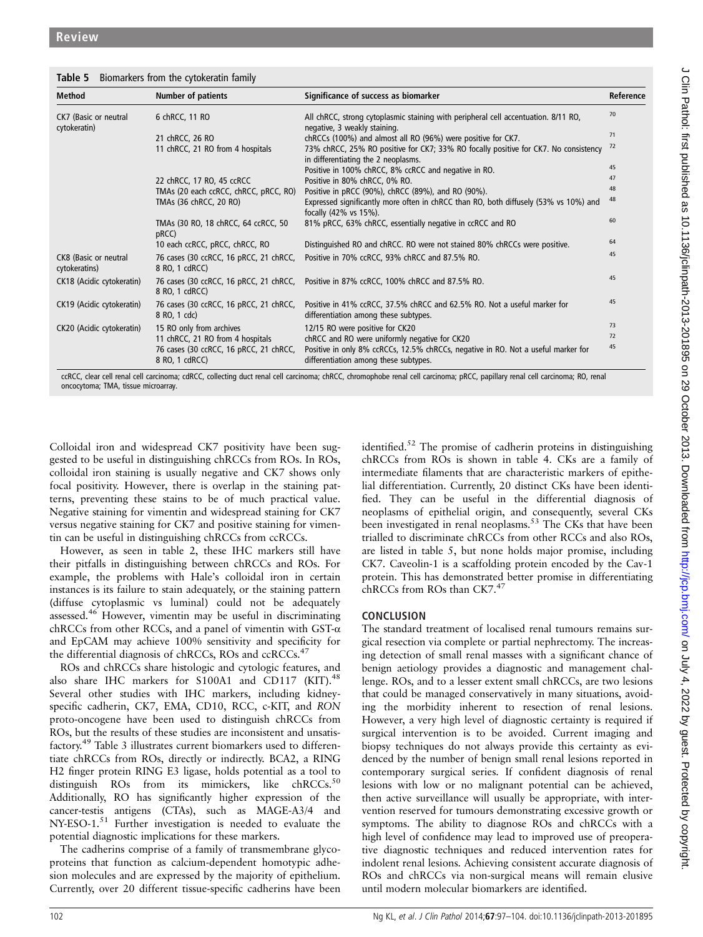Table 5 Biomarkers from the cytokeratin family

| Method                                 | <b>Number of patients</b>                                | Significance of success as biomarker                                                                                       | Reference |
|----------------------------------------|----------------------------------------------------------|----------------------------------------------------------------------------------------------------------------------------|-----------|
| CK7 (Basic or neutral<br>cytokeratin)  | 6 chRCC, 11 RO                                           | All chRCC, strong cytoplasmic staining with peripheral cell accentuation. 8/11 RO,<br>negative, 3 weakly staining.         | 70        |
|                                        | 21 chRCC, 26 RO                                          | chRCCs (100%) and almost all RO (96%) were positive for CK7.                                                               | 71        |
|                                        | 11 chRCC, 21 RO from 4 hospitals                         | 73% chRCC, 25% RO positive for CK7; 33% RO focally positive for CK7. No consistency<br>in differentiating the 2 neoplasms. | 72        |
|                                        |                                                          | Positive in 100% chRCC, 8% ccRCC and negative in RO.                                                                       | 45        |
|                                        | 22 chRCC, 17 RO, 45 ccRCC                                | Positive in 80% chRCC, 0% RO.                                                                                              | 47        |
|                                        | TMAs (20 each ccRCC, chRCC, pRCC, RO)                    | Positive in pRCC (90%), chRCC (89%), and RO (90%).                                                                         | 48        |
|                                        | TMAs (36 chRCC, 20 RO)                                   | Expressed significantly more often in chRCC than RO, both diffusely (53% vs 10%) and<br>focally (42% vs 15%).              | 48        |
|                                        | TMAs (30 RO, 18 chRCC, 64 ccRCC, 50<br>pRCC)             | 81% pRCC, 63% chRCC, essentially negative in ccRCC and RO                                                                  | 60        |
|                                        | 10 each ccRCC, pRCC, chRCC, RO                           | Distinguished RO and chRCC. RO were not stained 80% chRCCs were positive.                                                  | 64        |
| CK8 (Basic or neutral<br>cytokeratins) | 76 cases (30 ccRCC, 16 pRCC, 21 chRCC,<br>8 RO, 1 cdRCC) | Positive in 70% ccRCC, 93% chRCC and 87.5% RO.                                                                             | 45        |
| CK18 (Acidic cytokeratin)              | 76 cases (30 ccRCC, 16 pRCC, 21 chRCC,<br>8 RO, 1 cdRCC) | Positive in 87% ccRCC, 100% chRCC and 87.5% RO.                                                                            | 45        |
| CK19 (Acidic cytokeratin)              | 76 cases (30 ccRCC, 16 pRCC, 21 chRCC,<br>8 RO, 1 cdc)   | Positive in 41% ccRCC, 37.5% chRCC and 62.5% RO. Not a useful marker for<br>differentiation among these subtypes.          | 45        |
| CK20 (Acidic cytokeratin)              | 15 RO only from archives                                 | 12/15 RO were positive for CK20                                                                                            | 73        |
|                                        | 11 chRCC, 21 RO from 4 hospitals                         | chRCC and RO were uniformly negative for CK20                                                                              | 72        |
|                                        | 76 cases (30 ccRCC, 16 pRCC, 21 chRCC,<br>8 RO, 1 cdRCC) | Positive in only 8% ccRCCs, 12.5% chRCCs, negative in RO. Not a useful marker for<br>differentiation among these subtypes. | 45        |
|                                        |                                                          |                                                                                                                            |           |

ccRCC, clear cell renal cell carcinoma; cdRCC, collecting duct renal cell carcinoma; chRCC, chromophobe renal cell carcinoma; pRCC, papillary renal cell carcinoma; RO, renal oncocytoma; TMA, tissue microarray.

Colloidal iron and widespread CK7 positivity have been suggested to be useful in distinguishing chRCCs from ROs. In ROs, colloidal iron staining is usually negative and CK7 shows only focal positivity. However, there is overlap in the staining patterns, preventing these stains to be of much practical value. Negative staining for vimentin and widespread staining for CK7 versus negative staining for CK7 and positive staining for vimentin can be useful in distinguishing chRCCs from ccRCCs.

However, as seen in table 2, these IHC markers still have their pitfalls in distinguishing between chRCCs and ROs. For example, the problems with Hale's colloidal iron in certain instances is its failure to stain adequately, or the staining pattern (diffuse cytoplasmic vs luminal) could not be adequately assessed.<sup>46</sup> However, vimentin may be useful in discriminating chRCCs from other RCCs, and a panel of vimentin with GST-α and EpCAM may achieve 100% sensitivity and specificity for the differential diagnosis of chRCCs, ROs and ccRCCs.<sup>47</sup>

ROs and chRCCs share histologic and cytologic features, and also share IHC markers for S100A1 and CD117 (KIT).<sup>48</sup> Several other studies with IHC markers, including kidneyspecific cadherin, CK7, EMA, CD10, RCC, c-KIT, and RON proto-oncogene have been used to distinguish chRCCs from ROs, but the results of these studies are inconsistent and unsatisfactory.<sup>49</sup> Table 3 illustrates current biomarkers used to differentiate chRCCs from ROs, directly or indirectly. BCA2, a RING H2 finger protein RING E3 ligase, holds potential as a tool to distinguish ROs from its mimickers, like chRCCs. $50$ Additionally, RO has significantly higher expression of the cancer-testis antigens (CTAs), such as MAGE-A3/4 and NY-ESO-1.<sup>51</sup> Further investigation is needed to evaluate the potential diagnostic implications for these markers.

The cadherins comprise of a family of transmembrane glycoproteins that function as calcium-dependent homotypic adhesion molecules and are expressed by the majority of epithelium. Currently, over 20 different tissue-specific cadherins have been

identified.<sup>52</sup> The promise of cadherin proteins in distinguishing chRCCs from ROs is shown in table 4. CKs are a family of intermediate filaments that are characteristic markers of epithelial differentiation. Currently, 20 distinct CKs have been identified. They can be useful in the differential diagnosis of neoplasms of epithelial origin, and consequently, several CKs been investigated in renal neoplasms.<sup>53</sup> The CKs that have been trialled to discriminate chRCCs from other RCCs and also ROs, are listed in table 5, but none holds major promise, including CK7. Caveolin-1 is a scaffolding protein encoded by the Cav-1 protein. This has demonstrated better promise in differentiating chRCCs from ROs than CK7.<sup>47</sup>

# **CONCLUSION**

The standard treatment of localised renal tumours remains surgical resection via complete or partial nephrectomy. The increasing detection of small renal masses with a significant chance of benign aetiology provides a diagnostic and management challenge. ROs, and to a lesser extent small chRCCs, are two lesions that could be managed conservatively in many situations, avoiding the morbidity inherent to resection of renal lesions. However, a very high level of diagnostic certainty is required if surgical intervention is to be avoided. Current imaging and biopsy techniques do not always provide this certainty as evidenced by the number of benign small renal lesions reported in contemporary surgical series. If confident diagnosis of renal lesions with low or no malignant potential can be achieved, then active surveillance will usually be appropriate, with intervention reserved for tumours demonstrating excessive growth or symptoms. The ability to diagnose ROs and chRCCs with a high level of confidence may lead to improved use of preoperative diagnostic techniques and reduced intervention rates for indolent renal lesions. Achieving consistent accurate diagnosis of ROs and chRCCs via non-surgical means will remain elusive until modern molecular biomarkers are identified.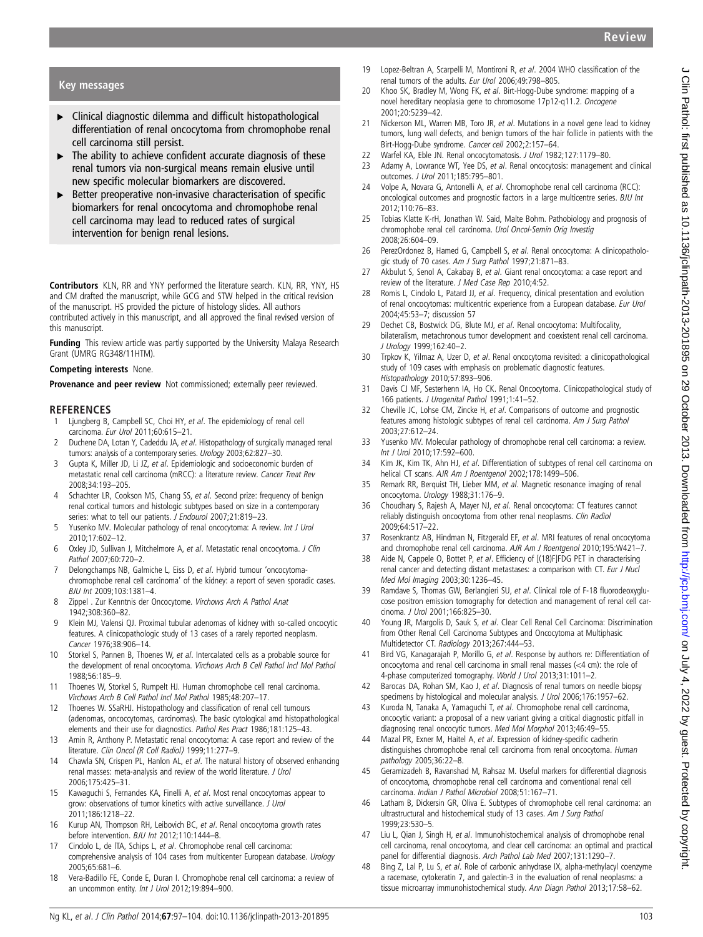#### Key messages

- ▸ Clinical diagnostic dilemma and difficult histopathological differentiation of renal oncocytoma from chromophobe renal cell carcinoma still persist.
- $\blacktriangleright$  The ability to achieve confident accurate diagnosis of these renal tumors via non-surgical means remain elusive until new specific molecular biomarkers are discovered.
- Better preoperative non-invasive characterisation of specific biomarkers for renal oncocytoma and chromophobe renal cell carcinoma may lead to reduced rates of surgical intervention for benign renal lesions.

Contributors KLN, RR and YNY performed the literature search. KLN, RR, YNY, HS and CM drafted the manuscript, while GCG and STW helped in the critical revision of the manuscript. HS provided the picture of histology slides. All authors contributed actively in this manuscript, and all approved the final revised version of this manuscript.

Funding This review article was partly supported by the University Malaya Research Grant (UMRG RG348/11HTM).

#### Competing interests None.

Provenance and peer review Not commissioned; externally peer reviewed.

#### **REFERENCES**

- Ljungberg B, Campbell SC, Choi HY, et al. The epidemiology of renal cell carcinoma. Eur Urol 2011;60:615–21.
- 2 Duchene DA, Lotan Y, Cadeddu JA, et al. Histopathology of surgically managed renal tumors: analysis of a contemporary series. Urology 2003;62:827–30.
- 3 Gupta K, Miller JD, Li JZ, et al. Epidemiologic and socioeconomic burden of metastatic renal cell carcinoma (mRCC): a literature review. Cancer Treat Rev 2008;34:193–205.
- 4 Schachter LR, Cookson MS, Chang SS, et al. Second prize: frequency of benign renal cortical tumors and histologic subtypes based on size in a contemporary series: what to tell our patients. J Endourol 2007;21:819-23.
- 5 Yusenko MV. Molecular pathology of renal oncocytoma: A review. Int J Urol 2010;17:602–12.
- 6 Oxley JD, Sullivan J, Mitchelmore A, et al. Metastatic renal oncocytoma. J Clin Pathol 2007;60:720–2.
- 7 Delongchamps NB, Galmiche L, Eiss D, et al. Hybrid tumour 'oncocytomachromophobe renal cell carcinoma' of the kidney: a report of seven sporadic cases. BJU Int 2009;103:1381–4.
- 8 Zippel . Zur Kenntnis der Oncocytome. Virchows Arch A Pathol Anat 1942;308:360–82.
- 9 Klein MJ, Valensi QJ. Proximal tubular adenomas of kidney with so-called oncocytic features. A clinicopathologic study of 13 cases of a rarely reported neoplasm. Cancer 1976;38:906–14.
- 10 Storkel S, Pannen B, Thoenes W, et al. Intercalated cells as a probable source for the development of renal oncocytoma. Virchows Arch B Cell Pathol Incl Mol Pathol 1988;56:185–9.
- 11 Thoenes W, Storkel S, Rumpelt HJ. Human chromophobe cell renal carcinoma. Virchows Arch B Cell Pathol Incl Mol Pathol 1985;48:207–17.
- 12 Thoenes W. SSaRHJ. Histopathology and classification of renal cell tumours (adenomas, oncoccytomas, carcinomas). The basic cytological amd histopathological elements and their use for diagnostics. Pathol Res Pract 1986;181:125–43.
- 13 Amin R, Anthony P. Metastatic renal oncocytoma: A case report and review of the literature. Clin Oncol (R Coll Radiol) 1999;11:277–9.
- 14 Chawla SN, Crispen PL, Hanlon AL, et al. The natural history of observed enhancing renal masses: meta-analysis and review of the world literature. J Urol 2006;175:425–31.
- 15 Kawaguchi S, Fernandes KA, Finelli A, et al. Most renal oncocytomas appear to grow: observations of tumor kinetics with active surveillance. J Urol 2011;186:1218–22.
- 16 Kurup AN, Thompson RH, Leibovich BC, et al. Renal oncocytoma growth rates before intervention. BJU Int 2012;110:1444–8.
- 17 Cindolo L, de ITA, Schips L, et al. Chromophobe renal cell carcinoma: comprehensive analysis of 104 cases from multicenter European database. Urology 2005;65:681–6.
- 18 Vera-Badillo FE, Conde E, Duran I. Chromophobe renal cell carcinoma: a review of an uncommon entity. Int J Urol 2012;19:894-900.
- 19 Lopez-Beltran A, Scarpelli M, Montironi R, et al. 2004 WHO classification of the renal tumors of the adults. Eur Urol 2006;49:798–805.
- 20 Khoo SK, Bradley M, Wong FK, et al. Birt-Hogg-Dube syndrome: mapping of a novel hereditary neoplasia gene to chromosome 17p12-q11.2. Oncogene 2001;20:5239–42.
- 21 Nickerson ML, Warren MB, Toro JR, et al. Mutations in a novel gene lead to kidney tumors, lung wall defects, and benign tumors of the hair follicle in patients with the Birt-Hogg-Dube syndrome. Cancer cell 2002;2:157–64.
- 22 Warfel KA, Eble JN. Renal oncocytomatosis. J Urol 1982;127:1179-80.
- 23 Adamy A, Lowrance WT, Yee DS, et al. Renal oncocytosis: management and clinical outcomes. J Urol 2011;185:795–801.
- 24 Volpe A, Novara G, Antonelli A, et al. Chromophobe renal cell carcinoma (RCC): oncological outcomes and prognostic factors in a large multicentre series. BJU Int 2012;110:76–83.
- 25 Tobias Klatte K-rH, Jonathan W. Said, Malte Bohm. Pathobiology and prognosis of chromophobe renal cell carcinoma. Urol Oncol-Semin Orig Investig 2008;26:604–09.
- 26 PerezOrdonez B, Hamed G, Campbell S, et al. Renal oncocytoma: A clinicopathologic study of 70 cases. Am J Surg Pathol 1997;21:871–83.
- 27 Akbulut S, Senol A, Cakabay B, et al. Giant renal oncocytoma: a case report and review of the literature. J Med Case Rep 2010;4:52.
- 28 Romis L, Cindolo L, Patard JJ, et al. Frequency, clinical presentation and evolution of renal oncocytomas: multicentric experience from a European database. Eur Urol 2004;45:53–7; discussion 57
- 29 Dechet CB, Bostwick DG, Blute MJ, et al. Renal oncocytoma: Multifocality, bilateralism, metachronous tumor development and coexistent renal cell carcinoma. J Urology 1999;162:40–2.
- 30 Trpkov K, Yilmaz A, Uzer D, et al. Renal oncocytoma revisited: a clinicopathological study of 109 cases with emphasis on problematic diagnostic features. Histopathology 2010;57:893–906.
- 31 Davis CJ MF, Sesterhenn IA, Ho CK. Renal Oncocytoma. Clinicopathological study of 166 patients. J Urogenital Pathol 1991;1:41–52.
- 32 Cheville JC, Lohse CM, Zincke H, et al. Comparisons of outcome and prognostic features among histologic subtypes of renal cell carcinoma. Am J Surg Pathol 2003;27:612–24.
- 33 Yusenko MV. Molecular pathology of chromophobe renal cell carcinoma: a review. Int J Urol 2010;17:592–600.
- 34 Kim JK, Kim TK, Ahn HJ, et al. Differentiation of subtypes of renal cell carcinoma on helical CT scans. AJR Am J Roentgenol 2002;178:1499-506.
- 35 Remark RR, Berquist TH, Lieber MM, et al. Magnetic resonance imaging of renal oncocytoma. Urology 1988;31:176–9.
- 36 Choudhary S, Rajesh A, Mayer NJ, et al. Renal oncocytoma: CT features cannot reliably distinguish oncocytoma from other renal neoplasms. Clin Radiol 2009;64:517–22.
- 37 Rosenkrantz AB, Hindman N, Fitzgerald EF, et al. MRI features of renal oncocytoma and chromophobe renal cell carcinoma. AJR Am J Roentgenol 2010:195:W421-7.
- 38 Aide N, Cappele O, Bottet P, et al. Efficiency of [(18)F]FDG PET in characterising renal cancer and detecting distant metastases: a comparison with CT. Eur J Nucl Med Mol Imaging 2003;30:1236–45.
- 39 Ramdave S, Thomas GW, Berlangieri SU, et al. Clinical role of F-18 fluorodeoxyglucose positron emission tomography for detection and management of renal cell carcinoma. J Urol 2001;166:825–30.
- 40 Young JR, Margolis D, Sauk S, et al. Clear Cell Renal Cell Carcinoma: Discrimination from Other Renal Cell Carcinoma Subtypes and Oncocytoma at Multiphasic Multidetector CT. Radiology 2013;267:444–53.
- 41 Bird VG, Kanagarajah P, Morillo G, et al. Response by authors re: Differentiation of oncocytoma and renal cell carcinoma in small renal masses (<4 cm): the role of 4-phase computerized tomography. World J Urol 2013;31:1011–2.
- 42 Barocas DA, Rohan SM, Kao J, et al. Diagnosis of renal tumors on needle biopsy specimens by histological and molecular analysis. J Urol 2006;176:1957–62.
- 43 Kuroda N, Tanaka A, Yamaguchi T, et al. Chromophobe renal cell carcinoma, oncocytic variant: a proposal of a new variant giving a critical diagnostic pitfall in diagnosing renal oncocytic tumors. Med Mol Morphol 2013;46:49–55.
- 44 Mazal PR, Exner M, Haitel A, et al. Expression of kidney-specific cadherin distinguishes chromophobe renal cell carcinoma from renal oncocytoma. Human pathology 2005;36:22–8.
- 45 Geramizadeh B, Ravanshad M, Rahsaz M. Useful markers for differential diagnosis of oncocytoma, chromophobe renal cell carcinoma and conventional renal cell carcinoma. Indian J Pathol Microbiol 2008;51:167–71.
- 46 Latham B, Dickersin GR, Oliva E. Subtypes of chromophobe cell renal carcinoma: an ultrastructural and histochemical study of 13 cases. Am J Surg Pathol 1999;23:530–5.
- 47 Liu L, Qian J, Singh H, et al. Immunohistochemical analysis of chromophobe renal cell carcinoma, renal oncocytoma, and clear cell carcinoma: an optimal and practical panel for differential diagnosis. Arch Pathol Lab Med 2007;131:1290-7.
- 48 Bing Z, Lal P, Lu S, et al. Role of carbonic anhydrase IX, alpha-methylacyl coenzyme a racemase, cytokeratin 7, and galectin-3 in the evaluation of renal neoplasms: a tissue microarray immunohistochemical study. Ann Diagn Pathol 2013;17:58–62.